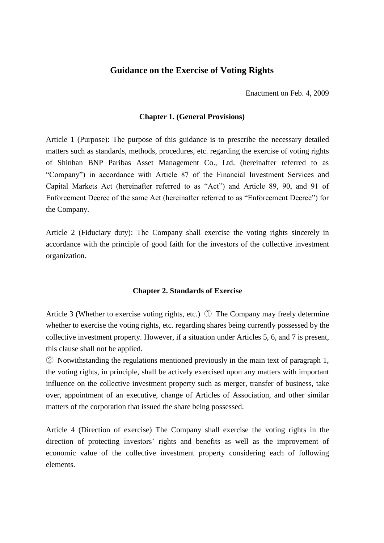## **Guidance on the Exercise of Voting Rights**

Enactment on Feb. 4, 2009

## **Chapter 1. (General Provisions)**

Article 1 (Purpose): The purpose of this guidance is to prescribe the necessary detailed matters such as standards, methods, procedures, etc. regarding the exercise of voting rights of Shinhan BNP Paribas Asset Management Co., Ltd. (hereinafter referred to as "Company") in accordance with Article 87 of the Financial Investment Services and Capital Markets Act (hereinafter referred to as "Act") and Article 89, 90, and 91 of Enforcement Decree of the same Act (hereinafter referred to as "Enforcement Decree") for the Company.

Article 2 (Fiduciary duty): The Company shall exercise the voting rights sincerely in accordance with the principle of good faith for the investors of the collective investment organization.

### **Chapter 2. Standards of Exercise**

Article 3 (Whether to exercise voting rights, etc.) ① The Company may freely determine whether to exercise the voting rights, etc. regarding shares being currently possessed by the collective investment property. However, if a situation under Articles 5, 6, and 7 is present, this clause shall not be applied.

② Notwithstanding the regulations mentioned previously in the main text of paragraph 1, the voting rights, in principle, shall be actively exercised upon any matters with important influence on the collective investment property such as merger, transfer of business, take over, appointment of an executive, change of Articles of Association, and other similar matters of the corporation that issued the share being possessed.

Article 4 (Direction of exercise) The Company shall exercise the voting rights in the direction of protecting investors' rights and benefits as well as the improvement of economic value of the collective investment property considering each of following elements.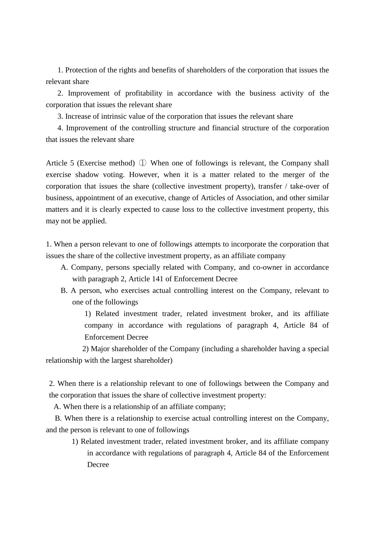1. Protection of the rights and benefits of shareholders of the corporation that issues the relevant share

 2. Improvement of profitability in accordance with the business activity of the corporation that issues the relevant share

3. Increase of intrinsic value of the corporation that issues the relevant share

 4. Improvement of the controlling structure and financial structure of the corporation that issues the relevant share

Article 5 (Exercise method) ① When one of followings is relevant, the Company shall exercise shadow voting. However, when it is a matter related to the merger of the corporation that issues the share (collective investment property), transfer / take-over of business, appointment of an executive, change of Articles of Association, and other similar matters and it is clearly expected to cause loss to the collective investment property, this may not be applied.

1. When a person relevant to one of followings attempts to incorporate the corporation that issues the share of the collective investment property, as an affiliate company

- A. Company, persons specially related with Company, and co-owner in accordance with paragraph 2, Article 141 of Enforcement Decree
- B. A person, who exercises actual controlling interest on the Company, relevant to one of the followings

 1) Related investment trader, related investment broker, and its affiliate company in accordance with regulations of paragraph 4, Article 84 of Enforcement Decree

2) Major shareholder of the Company (including a shareholder having a special relationship with the largest shareholder)

2. When there is a relationship relevant to one of followings between the Company and the corporation that issues the share of collective investment property:

A. When there is a relationship of an affiliate company;

B. When there is a relationship to exercise actual controlling interest on the Company, and the person is relevant to one of followings

1) Related investment trader, related investment broker, and its affiliate company in accordance with regulations of paragraph 4, Article 84 of the Enforcement Decree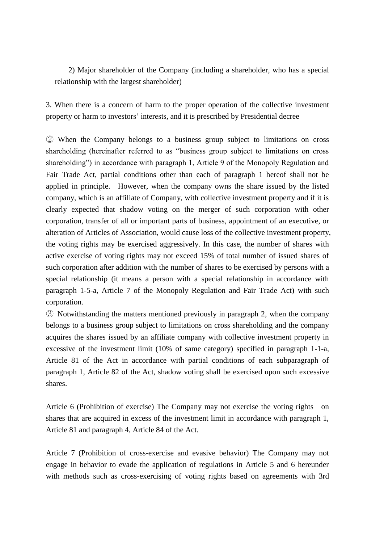2) Major shareholder of the Company (including a shareholder, who has a special relationship with the largest shareholder)

3. When there is a concern of harm to the proper operation of the collective investment property or harm to investors' interests, and it is prescribed by Presidential decree

② When the Company belongs to a business group subject to limitations on cross shareholding (hereinafter referred to as "business group subject to limitations on cross shareholding") in accordance with paragraph 1, Article 9 of the Monopoly Regulation and Fair Trade Act, partial conditions other than each of paragraph 1 hereof shall not be applied in principle. However, when the company owns the share issued by the listed company, which is an affiliate of Company, with collective investment property and if it is clearly expected that shadow voting on the merger of such corporation with other corporation, transfer of all or important parts of business, appointment of an executive, or alteration of Articles of Association, would cause loss of the collective investment property, the voting rights may be exercised aggressively. In this case, the number of shares with active exercise of voting rights may not exceed 15% of total number of issued shares of such corporation after addition with the number of shares to be exercised by persons with a special relationship (it means a person with a special relationship in accordance with paragraph 1-5-a, Article 7 of the Monopoly Regulation and Fair Trade Act) with such corporation.

③ Notwithstanding the matters mentioned previously in paragraph 2, when the company belongs to a business group subject to limitations on cross shareholding and the company acquires the shares issued by an affiliate company with collective investment property in excessive of the investment limit (10% of same category) specified in paragraph 1-1-a, Article 81 of the Act in accordance with partial conditions of each subparagraph of paragraph 1, Article 82 of the Act, shadow voting shall be exercised upon such excessive shares.

Article 6 (Prohibition of exercise) The Company may not exercise the voting rights on shares that are acquired in excess of the investment limit in accordance with paragraph 1, Article 81 and paragraph 4, Article 84 of the Act.

Article 7 (Prohibition of cross-exercise and evasive behavior) The Company may not engage in behavior to evade the application of regulations in Article 5 and 6 hereunder with methods such as cross-exercising of voting rights based on agreements with 3rd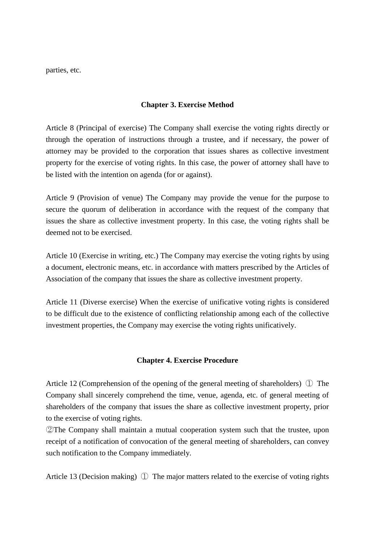parties, etc.

## **Chapter 3. Exercise Method**

Article 8 (Principal of exercise) The Company shall exercise the voting rights directly or through the operation of instructions through a trustee, and if necessary, the power of attorney may be provided to the corporation that issues shares as collective investment property for the exercise of voting rights. In this case, the power of attorney shall have to be listed with the intention on agenda (for or against).

Article 9 (Provision of venue) The Company may provide the venue for the purpose to secure the quorum of deliberation in accordance with the request of the company that issues the share as collective investment property. In this case, the voting rights shall be deemed not to be exercised.

Article 10 (Exercise in writing, etc.) The Company may exercise the voting rights by using a document, electronic means, etc. in accordance with matters prescribed by the Articles of Association of the company that issues the share as collective investment property.

Article 11 (Diverse exercise) When the exercise of unificative voting rights is considered to be difficult due to the existence of conflicting relationship among each of the collective investment properties, the Company may exercise the voting rights unificatively.

## **Chapter 4. Exercise Procedure**

Article 12 (Comprehension of the opening of the general meeting of shareholders) ① The Company shall sincerely comprehend the time, venue, agenda, etc. of general meeting of shareholders of the company that issues the share as collective investment property, prior to the exercise of voting rights.

②The Company shall maintain a mutual cooperation system such that the trustee, upon receipt of a notification of convocation of the general meeting of shareholders, can convey such notification to the Company immediately.

Article 13 (Decision making) ① The major matters related to the exercise of voting rights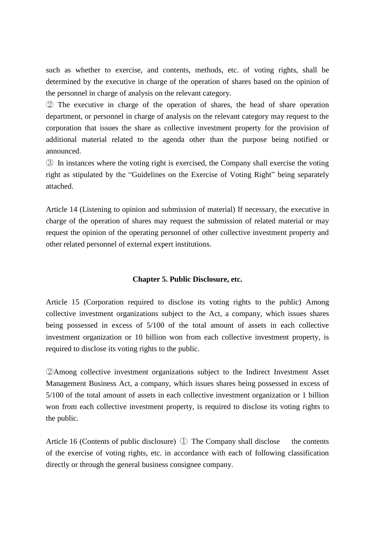such as whether to exercise, and contents, methods, etc. of voting rights, shall be determined by the executive in charge of the operation of shares based on the opinion of the personnel in charge of analysis on the relevant category.

② The executive in charge of the operation of shares, the head of share operation department, or personnel in charge of analysis on the relevant category may request to the corporation that issues the share as collective investment property for the provision of additional material related to the agenda other than the purpose being notified or announced.

③ In instances where the voting right is exercised, the Company shall exercise the voting right as stipulated by the "Guidelines on the Exercise of Voting Right" being separately attached.

Article 14 (Listening to opinion and submission of material) If necessary, the executive in charge of the operation of shares may request the submission of related material or may request the opinion of the operating personnel of other collective investment property and other related personnel of external expert institutions.

## **Chapter 5. Public Disclosure, etc.**

Article 15 (Corporation required to disclose its voting rights to the public) Among collective investment organizations subject to the Act, a company, which issues shares being possessed in excess of 5/100 of the total amount of assets in each collective investment organization or 10 billion won from each collective investment property, is required to disclose its voting rights to the public.

②Among collective investment organizations subject to the Indirect Investment Asset Management Business Act, a company, which issues shares being possessed in excess of 5/100 of the total amount of assets in each collective investment organization or 1 billion won from each collective investment property, is required to disclose its voting rights to the public.

Article 16 (Contents of public disclosure) ① The Company shall disclose the contents of the exercise of voting rights, etc. in accordance with each of following classification directly or through the general business consignee company.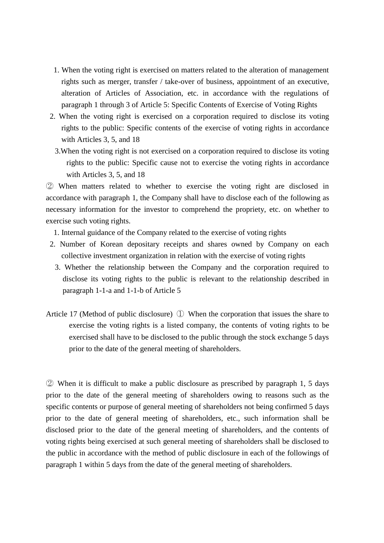- 1. When the voting right is exercised on matters related to the alteration of management rights such as merger, transfer / take-over of business, appointment of an executive, alteration of Articles of Association, etc. in accordance with the regulations of paragraph 1 through 3 of Article 5: Specific Contents of Exercise of Voting Rights
- 2. When the voting right is exercised on a corporation required to disclose its voting rights to the public: Specific contents of the exercise of voting rights in accordance with Articles 3, 5, and 18
	- 3.When the voting right is not exercised on a corporation required to disclose its voting rights to the public: Specific cause not to exercise the voting rights in accordance with Articles 3, 5, and 18

② When matters related to whether to exercise the voting right are disclosed in accordance with paragraph 1, the Company shall have to disclose each of the following as necessary information for the investor to comprehend the propriety, etc. on whether to exercise such voting rights.

- 1. Internal guidance of the Company related to the exercise of voting rights
- 2. Number of Korean depositary receipts and shares owned by Company on each collective investment organization in relation with the exercise of voting rights
	- 3. Whether the relationship between the Company and the corporation required to disclose its voting rights to the public is relevant to the relationship described in paragraph 1-1-a and 1-1-b of Article 5
- Article 17 (Method of public disclosure) ① When the corporation that issues the share to exercise the voting rights is a listed company, the contents of voting rights to be exercised shall have to be disclosed to the public through the stock exchange 5 days prior to the date of the general meeting of shareholders.

② When it is difficult to make a public disclosure as prescribed by paragraph 1, 5 days prior to the date of the general meeting of shareholders owing to reasons such as the specific contents or purpose of general meeting of shareholders not being confirmed 5 days prior to the date of general meeting of shareholders, etc., such information shall be disclosed prior to the date of the general meeting of shareholders, and the contents of voting rights being exercised at such general meeting of shareholders shall be disclosed to the public in accordance with the method of public disclosure in each of the followings of paragraph 1 within 5 days from the date of the general meeting of shareholders.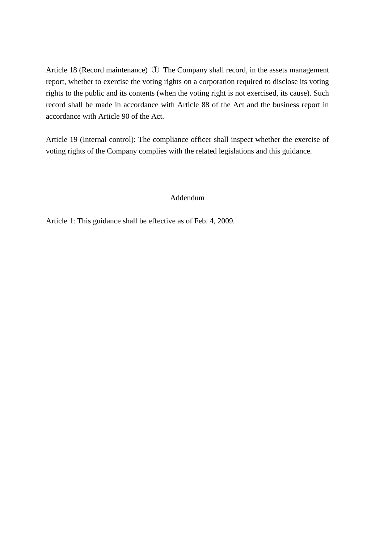Article 18 (Record maintenance) ① The Company shall record, in the assets management report, whether to exercise the voting rights on a corporation required to disclose its voting rights to the public and its contents (when the voting right is not exercised, its cause). Such record shall be made in accordance with Article 88 of the Act and the business report in accordance with Article 90 of the Act.

Article 19 (Internal control): The compliance officer shall inspect whether the exercise of voting rights of the Company complies with the related legislations and this guidance.

## Addendum

Article 1: This guidance shall be effective as of Feb. 4, 2009.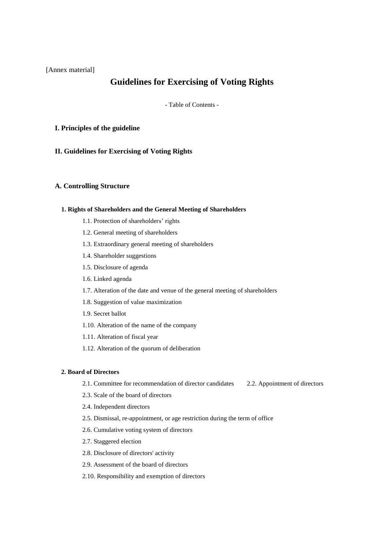[Annex material]

# **Guidelines for Exercising of Voting Rights**

- Table of Contents -

### **I. Principles of the guideline**

**II. Guidelines for Exercising of Voting Rights** 

### **A. Controlling Structure**

### **1. Rights of Shareholders and the General Meeting of Shareholders**

- 1.1. Protection of shareholders' rights
- 1.2. General meeting of shareholders
- 1.3. Extraordinary general meeting of shareholders
- 1.4. Shareholder suggestions
- 1.5. Disclosure of agenda
- 1.6. Linked agenda
- 1.7. Alteration of the date and venue of the general meeting of shareholders
- 1.8. Suggestion of value maximization
- 1.9. Secret ballot
- 1.10. Alteration of the name of the company
- 1.11. Alteration of fiscal year
- 1.12. Alteration of the quorum of deliberation

### **2. Board of Directors**

- 2.1. Committee for recommendation of director candidates 2.2. Appointment of directors
- 2.3. Scale of the board of directors
- 2.4. Independent directors
- 2.5. Dismissal, re-appointment, or age restriction during the term of office
- 2.6. Cumulative voting system of directors
- 2.7. Staggered election
- 2.8. Disclosure of directors' activity
- 2.9. Assessment of the board of directors
- 2.10. Responsibility and exemption of directors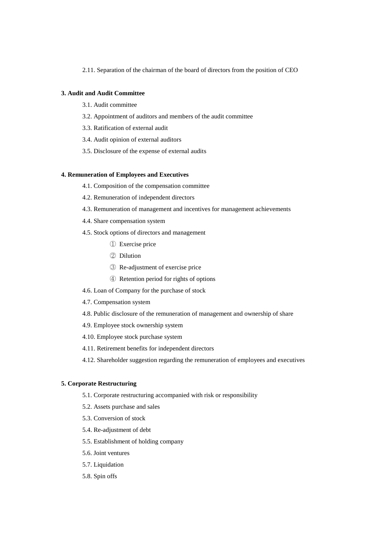2.11. Separation of the chairman of the board of directors from the position of CEO

### **3. Audit and Audit Committee**

- 3.1. Audit committee
- 3.2. Appointment of auditors and members of the audit committee
- 3.3. Ratification of external audit
- 3.4. Audit opinion of external auditors
- 3.5. Disclosure of the expense of external audits

### **4. Remuneration of Employees and Executives**

- 4.1. Composition of the compensation committee
- 4.2. Remuneration of independent directors
- 4.3. Remuneration of management and incentives for management achievements
- 4.4. Share compensation system
- 4.5. Stock options of directors and management
	- ① Exercise price
	- ② Dilution
	- ③ Re-adjustment of exercise price
	- ④ Retention period for rights of options
- 4.6. Loan of Company for the purchase of stock
- 4.7. Compensation system
- 4.8. Public disclosure of the remuneration of management and ownership of share
- 4.9. Employee stock ownership system
- 4.10. Employee stock purchase system
- 4.11. Retirement benefits for independent directors
- 4.12. Shareholder suggestion regarding the remuneration of employees and executives

### **5. Corporate Restructuring**

- 5.1. Corporate restructuring accompanied with risk or responsibility
- 5.2. Assets purchase and sales
- 5.3. Conversion of stock
- 5.4. Re-adjustment of debt
- 5.5. Establishment of holding company
- 5.6. Joint ventures
- 5.7. Liquidation
- 5.8. Spin offs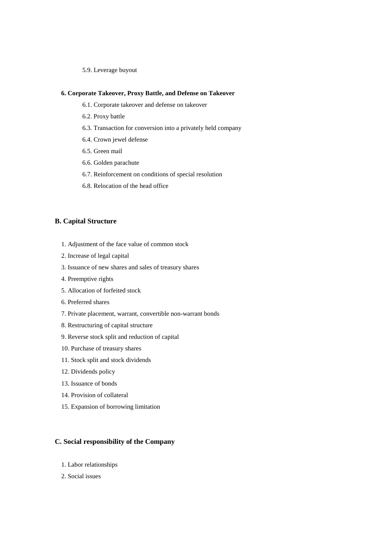5.9. Leverage buyout

### **6. Corporate Takeover, Proxy Battle, and Defense on Takeover**

- 6.1. Corporate takeover and defense on takeover
- 6.2. Proxy battle
- 6.3. Transaction for conversion into a privately held company
- 6.4. Crown jewel defense
- 6.5. Green mail
- 6.6. Golden parachute
- 6.7. Reinforcement on conditions of special resolution
- 6.8. Relocation of the head office

### **B. Capital Structure**

- 1. Adjustment of the face value of common stock
- 2. Increase of legal capital
- 3. Issuance of new shares and sales of treasury shares
- 4. Preemptive rights
- 5. Allocation of forfeited stock
- 6. Preferred shares
- 7. Private placement, warrant, convertible non-warrant bonds
- 8. Restructuring of capital structure
- 9. Reverse stock split and reduction of capital
- 10. Purchase of treasury shares
- 11. Stock split and stock dividends
- 12. Dividends policy
- 13. Issuance of bonds
- 14. Provision of collateral
- 15. Expansion of borrowing limitation

## **C. Social responsibility of the Company**

- 1. Labor relationships
- 2. Social issues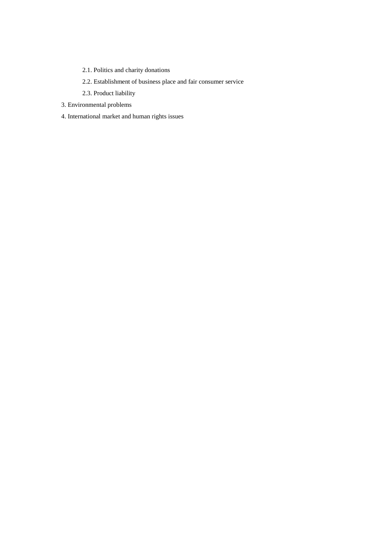- 2.1. Politics and charity donations
- 2.2. Establishment of business place and fair consumer service
- 2.3. Product liability
- 3. Environmental problems
- 4. International market and human rights issues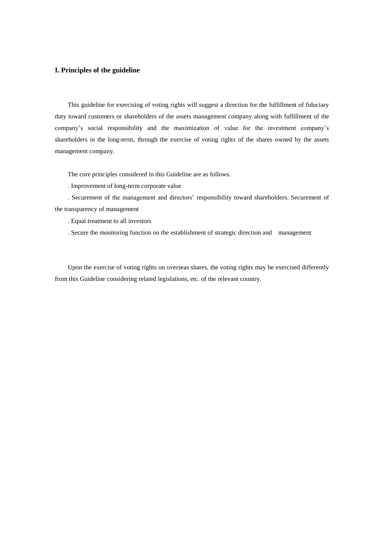### **I. Principles of the guideline**

This guideline for exercising of voting rights will suggest a direction for the fulfillment of fiduciary duty toward customers or shareholders of the assets management company along with fulfillment of the company's social responsibility and the maximization of value for the investment company's shareholders in the long-term, through the exercise of voting rights of the shares owned by the assets management company.

The core principles considered in this Guideline are as follows.

. Improvement of long-term corporate value

. Securement of the management and directors' responsibility toward shareholders. Securement of the transparency of management

. Equal treatment to all investors

. Secure the monitoring function on the establishment of strategic direction and management

Upon the exercise of voting rights on overseas shares, the voting rights may be exercised differently from this Guideline considering related legislations, etc. of the relevant country.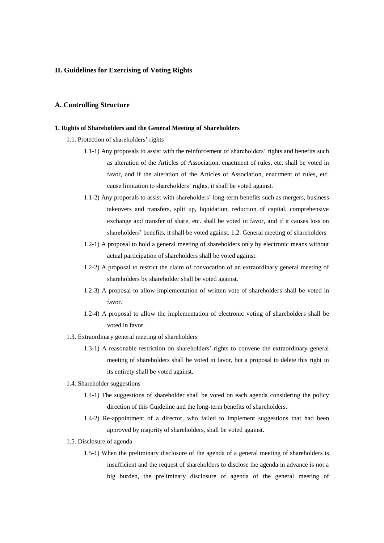### **II. Guidelines for Exercising of Voting Rights**

### **A. Controlling Structure**

#### **1. Rights of Shareholders and the General Meeting of Shareholders**

- 1.1. Protection of shareholders' rights
	- 1.1-1) Any proposals to assist with the reinforcement of shareholders' rights and benefits such as alteration of the Articles of Association, enactment of rules, etc. shall be voted in favor, and if the alteration of the Articles of Association, enactment of rules, etc. cause limitation to shareholders' rights, it shall be voted against.
	- 1.1-2) Any proposals to assist with shareholders' long-term benefits such as mergers, business takeovers and transfers, split up, liquidation, reduction of capital, comprehensive exchange and transfer of share, etc. shall be voted in favor, and if it causes loss on shareholders' benefits, it shall be voted against. 1.2. General meeting of shareholders
	- 1.2-1) A proposal to hold a general meeting of shareholders only by electronic means without actual participation of shareholders shall be voted against.
	- 1.2-2) A proposal to restrict the claim of convocation of an extraordinary general meeting of shareholders by shareholder shall be voted against.
	- 1.2-3) A proposal to allow implementation of written vote of shareholders shall be voted in favor.
	- 1.2-4) A proposal to allow the implementation of electronic voting of shareholders shall be voted in favor.
- 1.3. Extraordinary general meeting of shareholders
	- 1.3-1) A reasonable restriction on shareholders' rights to convene the extraordinary general meeting of shareholders shall be voted in favor, but a proposal to delete this right in its entirety shall be voted against.
- 1.4. Shareholder suggestions
	- 1.4-1) The suggestions of shareholder shall be voted on each agenda considering the policy direction of this Guideline and the long-term benefits of shareholders.
	- 1.4-2) Re-appointment of a director, who failed to implement suggestions that had been approved by majority of shareholders, shall be voted against.
- 1.5. Disclosure of agenda
	- 1.5-1) When the preliminary disclosure of the agenda of a general meeting of shareholders is insufficient and the request of shareholders to disclose the agenda in advance is not a big burden, the preliminary disclosure of agenda of the general meeting of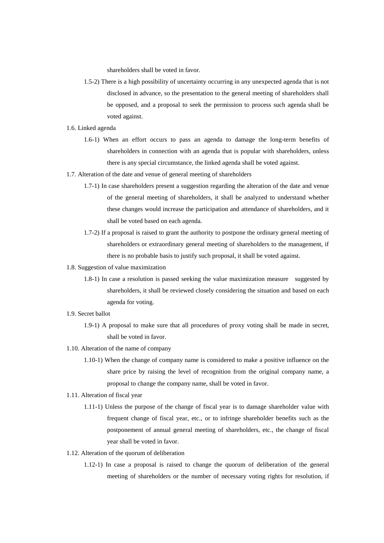shareholders shall be voted in favor.

- 1.5-2) There is a high possibility of uncertainty occurring in any unexpected agenda that is not disclosed in advance, so the presentation to the general meeting of shareholders shall be opposed, and a proposal to seek the permission to process such agenda shall be voted against.
- 1.6. Linked agenda
	- 1.6-1) When an effort occurs to pass an agenda to damage the long-term benefits of shareholders in connection with an agenda that is popular with shareholders, unless there is any special circumstance, the linked agenda shall be voted against.
- 1.7. Alteration of the date and venue of general meeting of shareholders
	- 1.7-1) In case shareholders present a suggestion regarding the alteration of the date and venue of the general meeting of shareholders, it shall be analyzed to understand whether these changes would increase the participation and attendance of shareholders, and it shall be voted based on each agenda.
	- 1.7-2) If a proposal is raised to grant the authority to postpone the ordinary general meeting of shareholders or extraordinary general meeting of shareholders to the management, if there is no probable basis to justify such proposal, it shall be voted against.
- 1.8. Suggestion of value maximization
	- 1.8-1) In case a resolution is passed seeking the value maximization measure suggested by shareholders, it shall be reviewed closely considering the situation and based on each agenda for voting.
- 1.9. Secret ballot
	- 1.9-1) A proposal to make sure that all procedures of proxy voting shall be made in secret, shall be voted in favor.
- 1.10. Alteration of the name of company
	- 1.10-1) When the change of company name is considered to make a positive influence on the share price by raising the level of recognition from the original company name, a proposal to change the company name, shall be voted in favor.
- 1.11. Alteration of fiscal year
	- 1.11-1) Unless the purpose of the change of fiscal year is to damage shareholder value with frequent change of fiscal year, etc., or to infringe shareholder benefits such as the postponement of annual general meeting of shareholders, etc., the change of fiscal year shall be voted in favor.
- 1.12. Alteration of the quorum of deliberation
	- 1.12-1) In case a proposal is raised to change the quorum of deliberation of the general meeting of shareholders or the number of necessary voting rights for resolution, if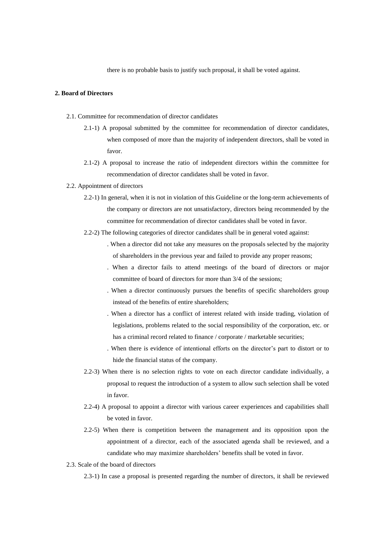there is no probable basis to justify such proposal, it shall be voted against.

### **2. Board of Directors**

- 2.1. Committee for recommendation of director candidates
	- 2.1-1) A proposal submitted by the committee for recommendation of director candidates, when composed of more than the majority of independent directors, shall be voted in favor.
	- 2.1-2) A proposal to increase the ratio of independent directors within the committee for recommendation of director candidates shall be voted in favor.

#### 2.2. Appointment of directors

- 2.2-1) In general, when it is not in violation of this Guideline or the long-term achievements of the company or directors are not unsatisfactory, directors being recommended by the committee for recommendation of director candidates shall be voted in favor.
- 2.2-2) The following categories of director candidates shall be in general voted against:
	- . When a director did not take any measures on the proposals selected by the majority of shareholders in the previous year and failed to provide any proper reasons;
	- . When a director fails to attend meetings of the board of directors or major committee of board of directors for more than 3/4 of the sessions;
	- . When a director continuously pursues the benefits of specific shareholders group instead of the benefits of entire shareholders;
	- . When a director has a conflict of interest related with inside trading, violation of legislations, problems related to the social responsibility of the corporation, etc. or has a criminal record related to finance / corporate / marketable securities:
	- . When there is evidence of intentional efforts on the director's part to distort or to hide the financial status of the company.
- 2.2-3) When there is no selection rights to vote on each director candidate individually, a proposal to request the introduction of a system to allow such selection shall be voted in favor.
- 2.2-4) A proposal to appoint a director with various career experiences and capabilities shall be voted in favor.
- 2.2-5) When there is competition between the management and its opposition upon the appointment of a director, each of the associated agenda shall be reviewed, and a candidate who may maximize shareholders' benefits shall be voted in favor.
- 2.3. Scale of the board of directors
	- 2.3-1) In case a proposal is presented regarding the number of directors, it shall be reviewed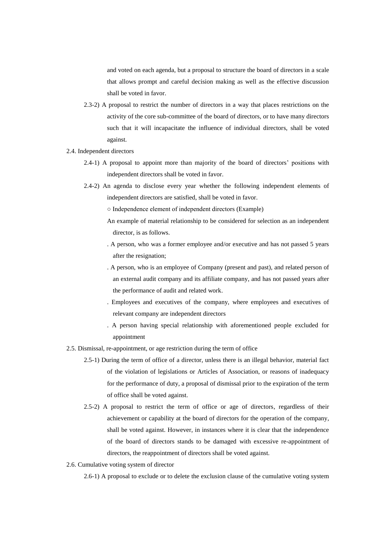and voted on each agenda, but a proposal to structure the board of directors in a scale that allows prompt and careful decision making as well as the effective discussion shall be voted in favor.

- 2.3-2) A proposal to restrict the number of directors in a way that places restrictions on the activity of the core sub-committee of the board of directors, or to have many directors such that it will incapacitate the influence of individual directors, shall be voted against.
- 2.4. Independent directors
	- 2.4-1) A proposal to appoint more than majority of the board of directors' positions with independent directors shall be voted in favor.
	- 2.4-2) An agenda to disclose every year whether the following independent elements of independent directors are satisfied, shall be voted in favor.
		- Independence element of independent directors (Example)
		- An example of material relationship to be considered for selection as an independent director, is as follows.
		- . A person, who was a former employee and/or executive and has not passed 5 years after the resignation;
		- . A person, who is an employee of Company (present and past), and related person of an external audit company and its affiliate company, and has not passed years after the performance of audit and related work.
		- . Employees and executives of the company, where employees and executives of relevant company are independent directors
		- . A person having special relationship with aforementioned people excluded for appointment
- 2.5. Dismissal, re-appointment, or age restriction during the term of office
	- 2.5-1) During the term of office of a director, unless there is an illegal behavior, material fact of the violation of legislations or Articles of Association, or reasons of inadequacy for the performance of duty, a proposal of dismissal prior to the expiration of the term of office shall be voted against.
	- 2.5-2) A proposal to restrict the term of office or age of directors, regardless of their achievement or capability at the board of directors for the operation of the company, shall be voted against. However, in instances where it is clear that the independence of the board of directors stands to be damaged with excessive re-appointment of directors, the reappointment of directors shall be voted against.
- 2.6. Cumulative voting system of director
	- 2.6-1) A proposal to exclude or to delete the exclusion clause of the cumulative voting system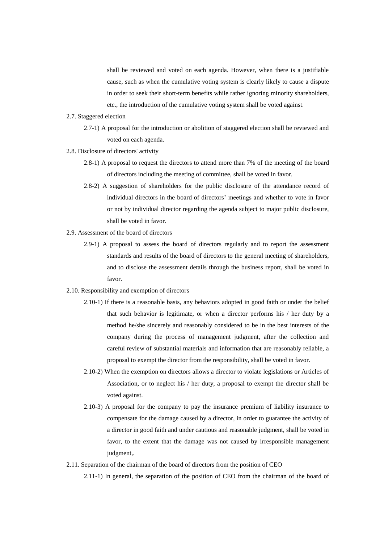shall be reviewed and voted on each agenda. However, when there is a justifiable cause, such as when the cumulative voting system is clearly likely to cause a dispute in order to seek their short-term benefits while rather ignoring minority shareholders, etc., the introduction of the cumulative voting system shall be voted against.

- 2.7. Staggered election
	- 2.7-1) A proposal for the introduction or abolition of staggered election shall be reviewed and voted on each agenda.
- 2.8. Disclosure of directors' activity
	- 2.8-1) A proposal to request the directors to attend more than 7% of the meeting of the board of directors including the meeting of committee, shall be voted in favor.
	- 2.8-2) A suggestion of shareholders for the public disclosure of the attendance record of individual directors in the board of directors' meetings and whether to vote in favor or not by individual director regarding the agenda subject to major public disclosure, shall be voted in favor.
- 2.9. Assessment of the board of directors
	- 2.9-1) A proposal to assess the board of directors regularly and to report the assessment standards and results of the board of directors to the general meeting of shareholders, and to disclose the assessment details through the business report, shall be voted in favor.
- 2.10. Responsibility and exemption of directors
	- 2.10-1) If there is a reasonable basis, any behaviors adopted in good faith or under the belief that such behavior is legitimate, or when a director performs his / her duty by a method he/she sincerely and reasonably considered to be in the best interests of the company during the process of management judgment, after the collection and careful review of substantial materials and information that are reasonably reliable, a proposal to exempt the director from the responsibility, shall be voted in favor.
	- 2.10-2) When the exemption on directors allows a director to violate legislations or Articles of Association, or to neglect his / her duty, a proposal to exempt the director shall be voted against.
	- 2.10-3) A proposal for the company to pay the insurance premium of liability insurance to compensate for the damage caused by a director, in order to guarantee the activity of a director in good faith and under cautious and reasonable judgment, shall be voted in favor, to the extent that the damage was not caused by irresponsible management judgment,.
- 2.11. Separation of the chairman of the board of directors from the position of CEO

2.11-1) In general, the separation of the position of CEO from the chairman of the board of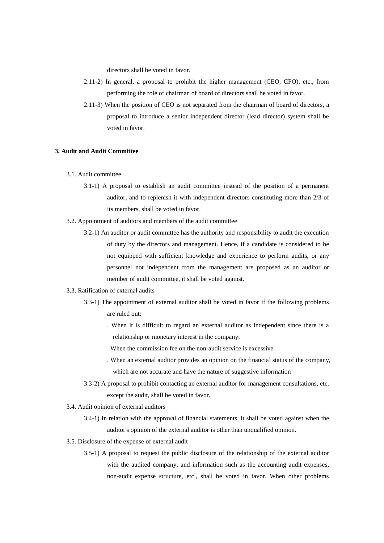directors shall be voted in favor.

- 2.11-2) In general, a proposal to prohibit the higher management (CEO, CFO), etc., from performing the role of chairman of board of directors shall be voted in favor.
- 2.11-3) When the position of CEO is not separated from the chairman of board of directors, a proposal to introduce a senior independent director (lead director) system shall be voted in favor.

### **3. Audit and Audit Committee**

- 3.1. Audit committee
	- 3.1-1) A proposal to establish an audit committee instead of the position of a permanent auditor, and to replenish it with independent directors constituting more than 2/3 of its members, shall be voted in favor.
- 3.2. Appointment of auditors and members of the audit committee
	- 3.2-1) An auditor or audit committee has the authority and responsibility to audit the execution of duty by the directors and management. Hence, if a candidate is considered to be not equipped with sufficient knowledge and experience to perform audits, or any personnel not independent from the management are proposed as an auditor or member of audit committee, it shall be voted against.
- 3.3. Ratification of external audits
	- 3.3-1) The appointment of external auditor shall be voted in favor if the following problems are ruled out:
		- . When it is difficult to regard an external auditor as independent since there is a relationship or monetary interest in the company;
		- . When the commission fee on the non-audit service is excessive
		- . When an external auditor provides an opinion on the financial status of the company, which are not accurate and have the nature of suggestive information
	- 3.3-2) A proposal to prohibit contacting an external auditor for management consultations, etc. except the audit, shall be voted in favor.
- 3.4. Audit opinion of external auditors
	- 3.4-1) In relation with the approval of financial statements, it shall be voted against when the auditor's opinion of the external auditor is other than unqualified opinion.
- 3.5. Disclosure of the expense of external audit
	- 3.5-1) A proposal to request the public disclosure of the relationship of the external auditor with the audited company, and information such as the accounting audit expenses, non-audit expense structure, etc., shall be voted in favor. When other problems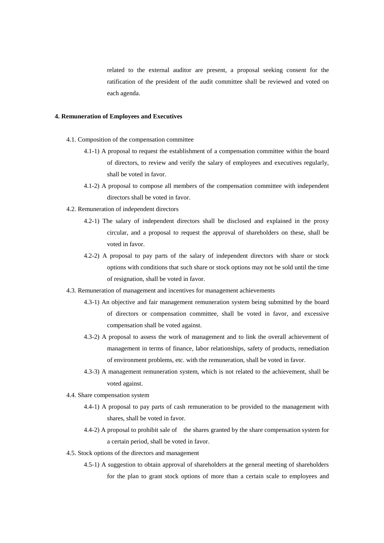related to the external auditor are present, a proposal seeking consent for the ratification of the president of the audit committee shall be reviewed and voted on each agenda.

### **4. Remuneration of Employees and Executives**

- 4.1. Composition of the compensation committee
	- 4.1-1) A proposal to request the establishment of a compensation committee within the board of directors, to review and verify the salary of employees and executives regularly, shall be voted in favor.
	- 4.1-2) A proposal to compose all members of the compensation committee with independent directors shall be voted in favor.
- 4.2. Remuneration of independent directors
	- 4.2-1) The salary of independent directors shall be disclosed and explained in the proxy circular, and a proposal to request the approval of shareholders on these, shall be voted in favor.
	- 4.2-2) A proposal to pay parts of the salary of independent directors with share or stock options with conditions that such share or stock options may not be sold until the time of resignation, shall be voted in favor.
- 4.3. Remuneration of management and incentives for management achievements
	- 4.3-1) An objective and fair management remuneration system being submitted by the board of directors or compensation committee, shall be voted in favor, and excessive compensation shall be voted against.
	- 4.3-2) A proposal to assess the work of management and to link the overall achievement of management in terms of finance, labor relationships, safety of products, remediation of environment problems, etc. with the remuneration, shall be voted in favor.
	- 4.3-3) A management remuneration system, which is not related to the achievement, shall be voted against.
- 4.4. Share compensation system
	- 4.4-1) A proposal to pay parts of cash remuneration to be provided to the management with shares, shall be voted in favor.
	- 4.4-2) A proposal to prohibit sale of the shares granted by the share compensation system for a certain period, shall be voted in favor.
- 4.5. Stock options of the directors and management
	- 4.5-1) A suggestion to obtain approval of shareholders at the general meeting of shareholders for the plan to grant stock options of more than a certain scale to employees and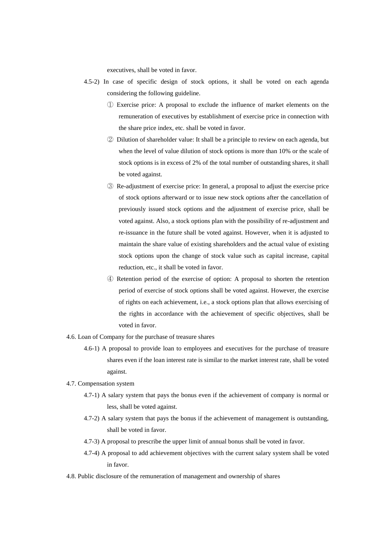executives, shall be voted in favor.

- 4.5-2) In case of specific design of stock options, it shall be voted on each agenda considering the following guideline.
	- ① Exercise price: A proposal to exclude the influence of market elements on the remuneration of executives by establishment of exercise price in connection with the share price index, etc. shall be voted in favor.
	- ② Dilution of shareholder value: It shall be a principle to review on each agenda, but when the level of value dilution of stock options is more than 10% or the scale of stock options is in excess of 2% of the total number of outstanding shares, it shall be voted against.
	- ③ Re-adjustment of exercise price: In general, a proposal to adjust the exercise price of stock options afterward or to issue new stock options after the cancellation of previously issued stock options and the adjustment of exercise price, shall be voted against. Also, a stock options plan with the possibility of re-adjustment and re-issuance in the future shall be voted against. However, when it is adjusted to maintain the share value of existing shareholders and the actual value of existing stock options upon the change of stock value such as capital increase, capital reduction, etc., it shall be voted in favor.
	- ④ Retention period of the exercise of option: A proposal to shorten the retention period of exercise of stock options shall be voted against. However, the exercise of rights on each achievement, i.e., a stock options plan that allows exercising of the rights in accordance with the achievement of specific objectives, shall be voted in favor.
- 4.6. Loan of Company for the purchase of treasure shares
	- 4.6-1) A proposal to provide loan to employees and executives for the purchase of treasure shares even if the loan interest rate is similar to the market interest rate, shall be voted against.
- 4.7. Compensation system
	- 4.7-1) A salary system that pays the bonus even if the achievement of company is normal or less, shall be voted against.
	- 4.7-2) A salary system that pays the bonus if the achievement of management is outstanding, shall be voted in favor.
	- 4.7-3) A proposal to prescribe the upper limit of annual bonus shall be voted in favor.
	- 4.7-4) A proposal to add achievement objectives with the current salary system shall be voted in favor.
- 4.8. Public disclosure of the remuneration of management and ownership of shares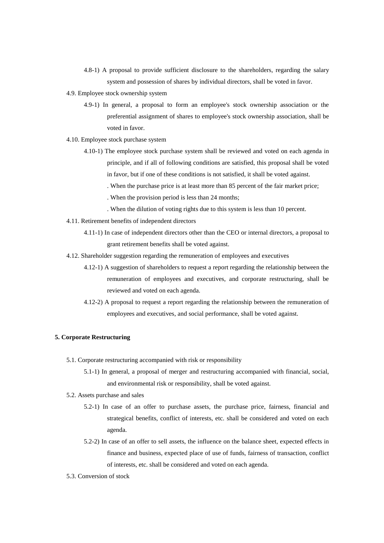- 4.8-1) A proposal to provide sufficient disclosure to the shareholders, regarding the salary system and possession of shares by individual directors, shall be voted in favor.
- 4.9. Employee stock ownership system
	- 4.9-1) In general, a proposal to form an employee's stock ownership association or the preferential assignment of shares to employee's stock ownership association, shall be voted in favor.
- 4.10. Employee stock purchase system
	- 4.10-1) The employee stock purchase system shall be reviewed and voted on each agenda in principle, and if all of following conditions are satisfied, this proposal shall be voted in favor, but if one of these conditions is not satisfied, it shall be voted against.
		- . When the purchase price is at least more than 85 percent of the fair market price;
		- . When the provision period is less than 24 months;
		- . When the dilution of voting rights due to this system is less than 10 percent.
- 4.11. Retirement benefits of independent directors
	- 4.11-1) In case of independent directors other than the CEO or internal directors, a proposal to grant retirement benefits shall be voted against.
- 4.12. Shareholder suggestion regarding the remuneration of employees and executives
	- 4.12-1) A suggestion of shareholders to request a report regarding the relationship between the remuneration of employees and executives, and corporate restructuring, shall be reviewed and voted on each agenda.
	- 4.12-2) A proposal to request a report regarding the relationship between the remuneration of employees and executives, and social performance, shall be voted against.

## **5. Corporate Restructuring**

- 5.1. Corporate restructuring accompanied with risk or responsibility
	- 5.1-1) In general, a proposal of merger and restructuring accompanied with financial, social, and environmental risk or responsibility, shall be voted against.
- 5.2. Assets purchase and sales
	- 5.2-1) In case of an offer to purchase assets, the purchase price, fairness, financial and strategical benefits, conflict of interests, etc. shall be considered and voted on each agenda.
	- 5.2-2) In case of an offer to sell assets, the influence on the balance sheet, expected effects in finance and business, expected place of use of funds, fairness of transaction, conflict of interests, etc. shall be considered and voted on each agenda.
- 5.3. Conversion of stock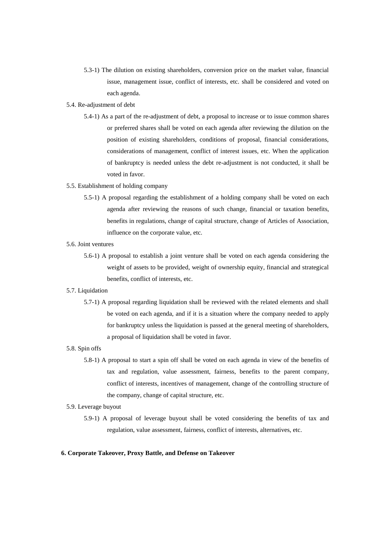5.3-1) The dilution on existing shareholders, conversion price on the market value, financial issue, management issue, conflict of interests, etc. shall be considered and voted on each agenda.

#### 5.4. Re-adjustment of debt

5.4-1) As a part of the re-adjustment of debt, a proposal to increase or to issue common shares or preferred shares shall be voted on each agenda after reviewing the dilution on the position of existing shareholders, conditions of proposal, financial considerations, considerations of management, conflict of interest issues, etc. When the application of bankruptcy is needed unless the debt re-adjustment is not conducted, it shall be voted in favor.

#### 5.5. Establishment of holding company

5.5-1) A proposal regarding the establishment of a holding company shall be voted on each agenda after reviewing the reasons of such change, financial or taxation benefits, benefits in regulations, change of capital structure, change of Articles of Association, influence on the corporate value, etc.

#### 5.6. Joint ventures

5.6-1) A proposal to establish a joint venture shall be voted on each agenda considering the weight of assets to be provided, weight of ownership equity, financial and strategical benefits, conflict of interests, etc.

#### 5.7. Liquidation

5.7-1) A proposal regarding liquidation shall be reviewed with the related elements and shall be voted on each agenda, and if it is a situation where the company needed to apply for bankruptcy unless the liquidation is passed at the general meeting of shareholders, a proposal of liquidation shall be voted in favor.

#### 5.8. Spin offs

5.8-1) A proposal to start a spin off shall be voted on each agenda in view of the benefits of tax and regulation, value assessment, fairness, benefits to the parent company, conflict of interests, incentives of management, change of the controlling structure of the company, change of capital structure, etc.

### 5.9. Leverage buyout

5.9-1) A proposal of leverage buyout shall be voted considering the benefits of tax and regulation, value assessment, fairness, conflict of interests, alternatives, etc.

#### **6. Corporate Takeover, Proxy Battle, and Defense on Takeover**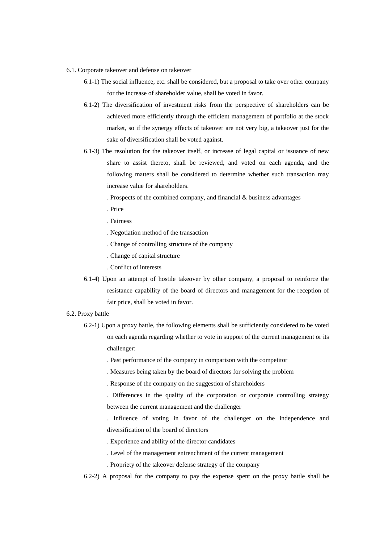- 6.1. Corporate takeover and defense on takeover
	- 6.1-1) The social influence, etc. shall be considered, but a proposal to take over other company for the increase of shareholder value, shall be voted in favor.
	- 6.1-2) The diversification of investment risks from the perspective of shareholders can be achieved more efficiently through the efficient management of portfolio at the stock market, so if the synergy effects of takeover are not very big, a takeover just for the sake of diversification shall be voted against.
	- 6.1-3) The resolution for the takeover itself, or increase of legal capital or issuance of new share to assist thereto, shall be reviewed, and voted on each agenda, and the following matters shall be considered to determine whether such transaction may increase value for shareholders.

. Prospects of the combined company, and financial & business advantages

- . Price
- . Fairness
- . Negotiation method of the transaction
- . Change of controlling structure of the company
- . Change of capital structure
- . Conflict of interests
- 6.1-4) Upon an attempt of hostile takeover by other company, a proposal to reinforce the resistance capability of the board of directors and management for the reception of fair price, shall be voted in favor.

### 6.2. Proxy battle

- 6.2-1) Upon a proxy battle, the following elements shall be sufficiently considered to be voted on each agenda regarding whether to vote in support of the current management or its challenger:
	- . Past performance of the company in comparison with the competitor
	- . Measures being taken by the board of directors for solving the problem
	- . Response of the company on the suggestion of shareholders
	- . Differences in the quality of the corporation or corporate controlling strategy between the current management and the challenger

. Influence of voting in favor of the challenger on the independence and diversification of the board of directors

- . Experience and ability of the director candidates
- . Level of the management entrenchment of the current management
- . Propriety of the takeover defense strategy of the company
- 6.2-2) A proposal for the company to pay the expense spent on the proxy battle shall be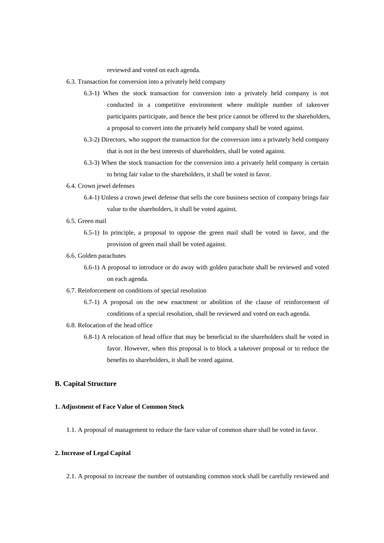reviewed and voted on each agenda.

- 6.3. Transaction for conversion into a privately held company
	- 6.3-1) When the stock transaction for conversion into a privately held company is not conducted in a competitive environment where multiple number of takeover participants participate, and hence the best price cannot be offered to the shareholders, a proposal to convert into the privately held company shall be voted against.
	- 6.3-2) Directors, who support the transaction for the conversion into a privately held company that is not in the best interests of shareholders, shall be voted against.
	- 6.3-3) When the stock transaction for the conversion into a privately held company is certain to bring fair value to the shareholders, it shall be voted in favor.
- 6.4. Crown jewel defenses
	- 6.4-1) Unless a crown jewel defense that sells the core business section of company brings fair value to the shareholders, it shall be voted against.
- 6.5. Green mail
	- 6.5-1) In principle, a proposal to oppose the green mail shall be voted in favor, and the provision of green mail shall be voted against.
- 6.6. Golden parachutes
	- 6.6-1) A proposal to introduce or do away with golden parachute shall be reviewed and voted on each agenda.
- 6.7. Reinforcement on conditions of special resolution
	- 6.7-1) A proposal on the new enactment or abolition of the clause of reinforcement of conditions of a special resolution, shall be reviewed and voted on each agenda.
- 6.8. Relocation of the head office
	- 6.8-1) A relocation of head office that may be beneficial to the shareholders shall be voted in favor. However, when this proposal is to block a takeover proposal or to reduce the benefits to shareholders, it shall be voted against.

### **B. Capital Structure**

### **1. Adjustment of Face Value of Common Stock**

1.1. A proposal of management to reduce the face value of common share shall be voted in favor.

### **2. Increase of Legal Capital**

2.1. A proposal to increase the number of outstanding common stock shall be carefully reviewed and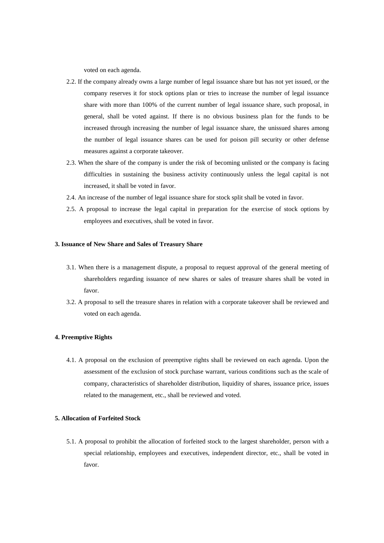voted on each agenda.

- 2.2. If the company already owns a large number of legal issuance share but has not yet issued, or the company reserves it for stock options plan or tries to increase the number of legal issuance share with more than 100% of the current number of legal issuance share, such proposal, in general, shall be voted against. If there is no obvious business plan for the funds to be increased through increasing the number of legal issuance share, the unissued shares among the number of legal issuance shares can be used for poison pill security or other defense measures against a corporate takeover.
- 2.3. When the share of the company is under the risk of becoming unlisted or the company is facing difficulties in sustaining the business activity continuously unless the legal capital is not increased, it shall be voted in favor.
- 2.4. An increase of the number of legal issuance share for stock split shall be voted in favor.
- 2.5. A proposal to increase the legal capital in preparation for the exercise of stock options by employees and executives, shall be voted in favor.

### **3. Issuance of New Share and Sales of Treasury Share**

- 3.1. When there is a management dispute, a proposal to request approval of the general meeting of shareholders regarding issuance of new shares or sales of treasure shares shall be voted in favor.
- 3.2. A proposal to sell the treasure shares in relation with a corporate takeover shall be reviewed and voted on each agenda.

### **4. Preemptive Rights**

4.1. A proposal on the exclusion of preemptive rights shall be reviewed on each agenda. Upon the assessment of the exclusion of stock purchase warrant, various conditions such as the scale of company, characteristics of shareholder distribution, liquidity of shares, issuance price, issues related to the management, etc., shall be reviewed and voted.

### **5. Allocation of Forfeited Stock**

5.1. A proposal to prohibit the allocation of forfeited stock to the largest shareholder, person with a special relationship, employees and executives, independent director, etc., shall be voted in favor.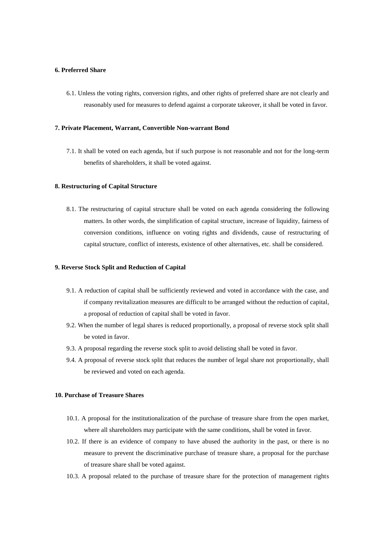### **6. Preferred Share**

6.1. Unless the voting rights, conversion rights, and other rights of preferred share are not clearly and reasonably used for measures to defend against a corporate takeover, it shall be voted in favor.

#### **7. Private Placement, Warrant, Convertible Non-warrant Bond**

7.1. It shall be voted on each agenda, but if such purpose is not reasonable and not for the long-term benefits of shareholders, it shall be voted against.

#### **8. Restructuring of Capital Structure**

8.1. The restructuring of capital structure shall be voted on each agenda considering the following matters. In other words, the simplification of capital structure, increase of liquidity, fairness of conversion conditions, influence on voting rights and dividends, cause of restructuring of capital structure, conflict of interests, existence of other alternatives, etc. shall be considered.

### **9. Reverse Stock Split and Reduction of Capital**

- 9.1. A reduction of capital shall be sufficiently reviewed and voted in accordance with the case, and if company revitalization measures are difficult to be arranged without the reduction of capital, a proposal of reduction of capital shall be voted in favor.
- 9.2. When the number of legal shares is reduced proportionally, a proposal of reverse stock split shall be voted in favor.
- 9.3. A proposal regarding the reverse stock split to avoid delisting shall be voted in favor.
- 9.4. A proposal of reverse stock split that reduces the number of legal share not proportionally, shall be reviewed and voted on each agenda.

### **10. Purchase of Treasure Shares**

- 10.1. A proposal for the institutionalization of the purchase of treasure share from the open market, where all shareholders may participate with the same conditions, shall be voted in favor.
- 10.2. If there is an evidence of company to have abused the authority in the past, or there is no measure to prevent the discriminative purchase of treasure share, a proposal for the purchase of treasure share shall be voted against.
- 10.3. A proposal related to the purchase of treasure share for the protection of management rights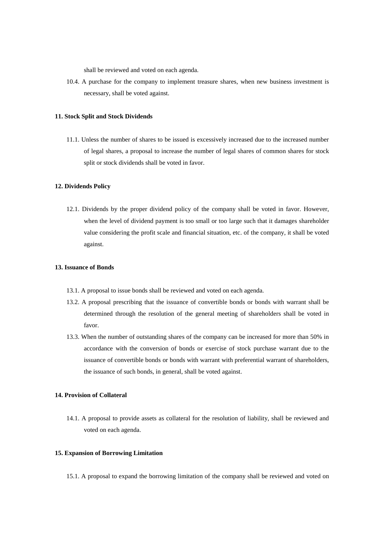shall be reviewed and voted on each agenda.

10.4. A purchase for the company to implement treasure shares, when new business investment is necessary, shall be voted against.

#### **11. Stock Split and Stock Dividends**

11.1. Unless the number of shares to be issued is excessively increased due to the increased number of legal shares, a proposal to increase the number of legal shares of common shares for stock split or stock dividends shall be voted in favor.

#### **12. Dividends Policy**

12.1. Dividends by the proper dividend policy of the company shall be voted in favor. However, when the level of dividend payment is too small or too large such that it damages shareholder value considering the profit scale and financial situation, etc. of the company, it shall be voted against.

### **13. Issuance of Bonds**

- 13.1. A proposal to issue bonds shall be reviewed and voted on each agenda.
- 13.2. A proposal prescribing that the issuance of convertible bonds or bonds with warrant shall be determined through the resolution of the general meeting of shareholders shall be voted in favor.
- 13.3. When the number of outstanding shares of the company can be increased for more than 50% in accordance with the conversion of bonds or exercise of stock purchase warrant due to the issuance of convertible bonds or bonds with warrant with preferential warrant of shareholders, the issuance of such bonds, in general, shall be voted against.

### **14. Provision of Collateral**

14.1. A proposal to provide assets as collateral for the resolution of liability, shall be reviewed and voted on each agenda.

#### **15. Expansion of Borrowing Limitation**

15.1. A proposal to expand the borrowing limitation of the company shall be reviewed and voted on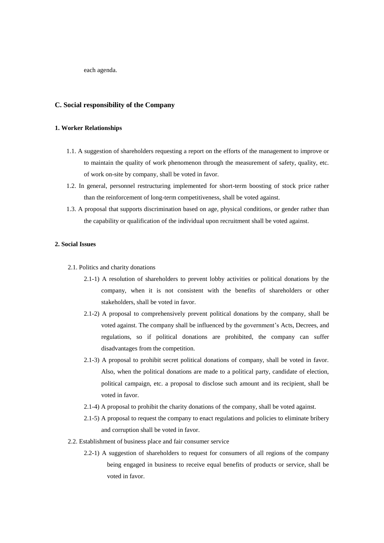each agenda.

### **C. Social responsibility of the Company**

### **1. Worker Relationships**

- 1.1. A suggestion of shareholders requesting a report on the efforts of the management to improve or to maintain the quality of work phenomenon through the measurement of safety, quality, etc. of work on-site by company, shall be voted in favor.
- 1.2. In general, personnel restructuring implemented for short-term boosting of stock price rather than the reinforcement of long-term competitiveness, shall be voted against.
- 1.3. A proposal that supports discrimination based on age, physical conditions, or gender rather than the capability or qualification of the individual upon recruitment shall be voted against.

### **2. Social Issues**

- 2.1. Politics and charity donations
	- 2.1-1) A resolution of shareholders to prevent lobby activities or political donations by the company, when it is not consistent with the benefits of shareholders or other stakeholders, shall be voted in favor.
	- 2.1-2) A proposal to comprehensively prevent political donations by the company, shall be voted against. The company shall be influenced by the government's Acts, Decrees, and regulations, so if political donations are prohibited, the company can suffer disadvantages from the competition.
	- 2.1-3) A proposal to prohibit secret political donations of company, shall be voted in favor. Also, when the political donations are made to a political party, candidate of election, political campaign, etc. a proposal to disclose such amount and its recipient, shall be voted in favor.
	- 2.1-4) A proposal to prohibit the charity donations of the company, shall be voted against.
	- 2.1-5) A proposal to request the company to enact regulations and policies to eliminate bribery and corruption shall be voted in favor.
- 2.2. Establishment of business place and fair consumer service
	- 2.2-1) A suggestion of shareholders to request for consumers of all regions of the company being engaged in business to receive equal benefits of products or service, shall be voted in favor.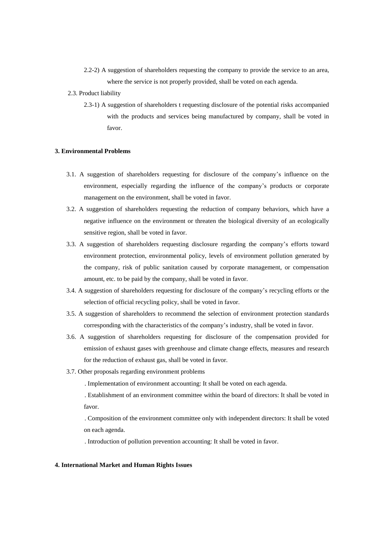- 2.2-2) A suggestion of shareholders requesting the company to provide the service to an area, where the service is not properly provided, shall be voted on each agenda.
- 2.3. Product liability
	- 2.3-1) A suggestion of shareholders t requesting disclosure of the potential risks accompanied with the products and services being manufactured by company, shall be voted in favor.

### **3. Environmental Problems**

- 3.1. A suggestion of shareholders requesting for disclosure of the company's influence on the environment, especially regarding the influence of the company's products or corporate management on the environment, shall be voted in favor.
- 3.2. A suggestion of shareholders requesting the reduction of company behaviors, which have a negative influence on the environment or threaten the biological diversity of an ecologically sensitive region, shall be voted in favor.
- 3.3. A suggestion of shareholders requesting disclosure regarding the company's efforts toward environment protection, environmental policy, levels of environment pollution generated by the company, risk of public sanitation caused by corporate management, or compensation amount, etc. to be paid by the company, shall be voted in favor.
- 3.4. A suggestion of shareholders requesting for disclosure of the company's recycling efforts or the selection of official recycling policy, shall be voted in favor.
- 3.5. A suggestion of shareholders to recommend the selection of environment protection standards corresponding with the characteristics of the company's industry, shall be voted in favor.
- 3.6. A suggestion of shareholders requesting for disclosure of the compensation provided for emission of exhaust gases with greenhouse and climate change effects, measures and research for the reduction of exhaust gas, shall be voted in favor.
- 3.7. Other proposals regarding environment problems
	- . Implementation of environment accounting: It shall be voted on each agenda.

. Establishment of an environment committee within the board of directors: It shall be voted in favor.

. Composition of the environment committee only with independent directors: It shall be voted on each agenda.

. Introduction of pollution prevention accounting: It shall be voted in favor.

#### **4. International Market and Human Rights Issues**